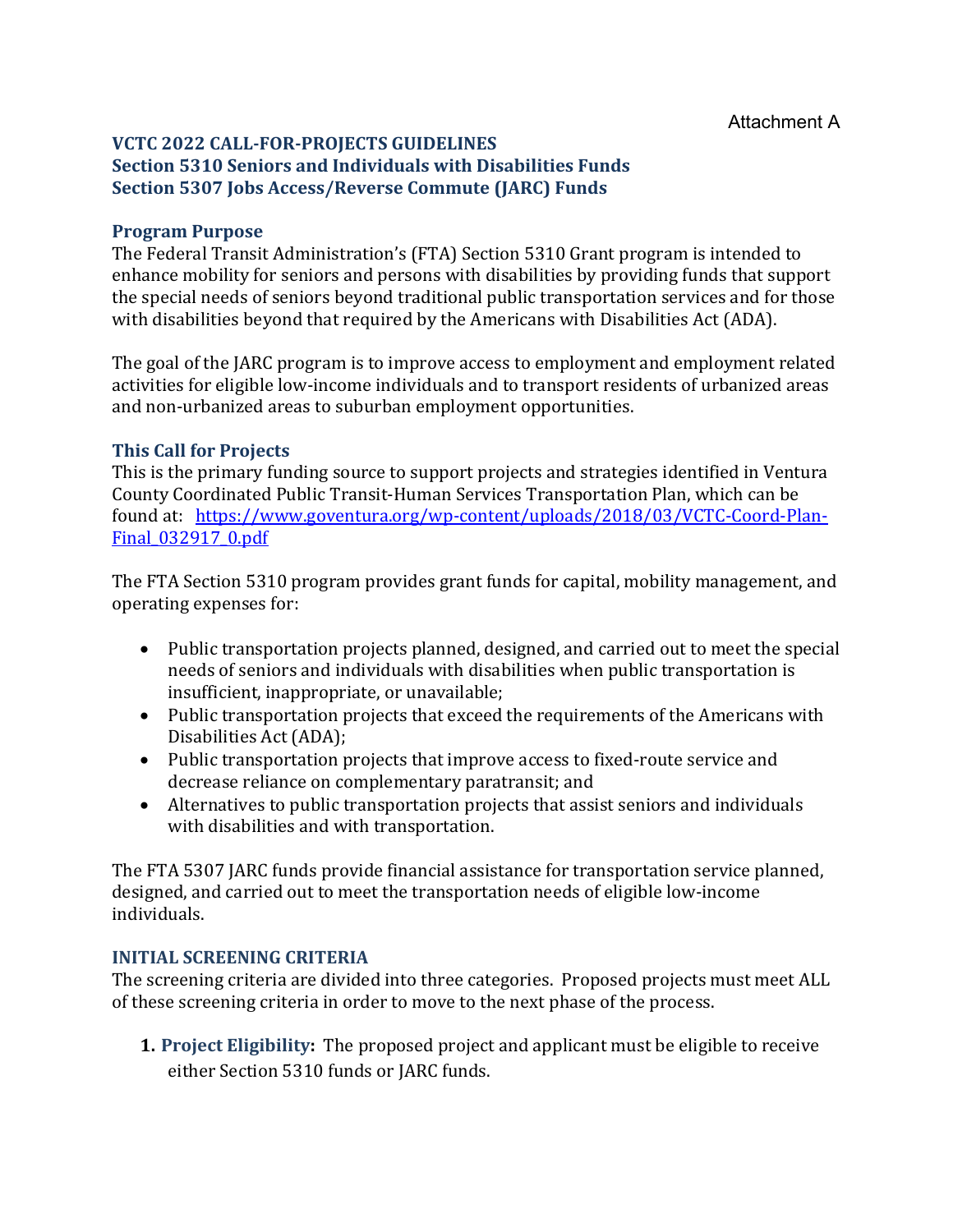### **VCTC 2022 CALL-FOR-PROJECTS GUIDELINES Section 5310 Seniors and Individuals with Disabilities Funds Section 5307 Jobs Access/Reverse Commute (JARC) Funds**

### **Program Purpose**

The Federal Transit Administration's (FTA) Section 5310 Grant program is intended to enhance mobility for seniors and persons with disabilities by providing funds that support the special needs of seniors beyond traditional public transportation services and for those with disabilities beyond that required by the Americans with Disabilities Act (ADA).

The goal of the JARC program is to improve access to employment and employment related activities for eligible low-income individuals and to transport residents of urbanized areas and non-urbanized areas to suburban employment opportunities.

## **This Call for Projects**

This is the primary funding source to support projects and strategies identified in Ventura County Coordinated Public Transit-Human Services Transportation Plan, which can be found at: [https://www.goventura.org/wp-content/uploads/2018/03/VCTC-Coord-Plan-](https://www.goventura.org/wp-content/uploads/2018/03/VCTC-Coord-Plan-Final_032917_0.pdf)Final 032917 0.pdf

The FTA Section 5310 program provides grant funds for capital, mobility management, and operating expenses for:

- Public transportation projects planned, designed, and carried out to meet the special needs of seniors and individuals with disabilities when public transportation is insufficient, inappropriate, or unavailable;
- Public transportation projects that exceed the requirements of the Americans with Disabilities Act (ADA);
- Public transportation projects that improve access to fixed-route service and decrease reliance on complementary paratransit; and
- Alternatives to public transportation projects that assist seniors and individuals with disabilities and with transportation.

The FTA 5307 JARC funds provide financial assistance for transportation service planned, designed, and carried out to meet the transportation needs of eligible low-income individuals.

### **INITIAL SCREENING CRITERIA**

The screening criteria are divided into three categories. Proposed projects must meet ALL of these screening criteria in order to move to the next phase of the process.

**1. Project Eligibility:** The proposed project and applicant must be eligible to receive either Section 5310 funds or JARC funds.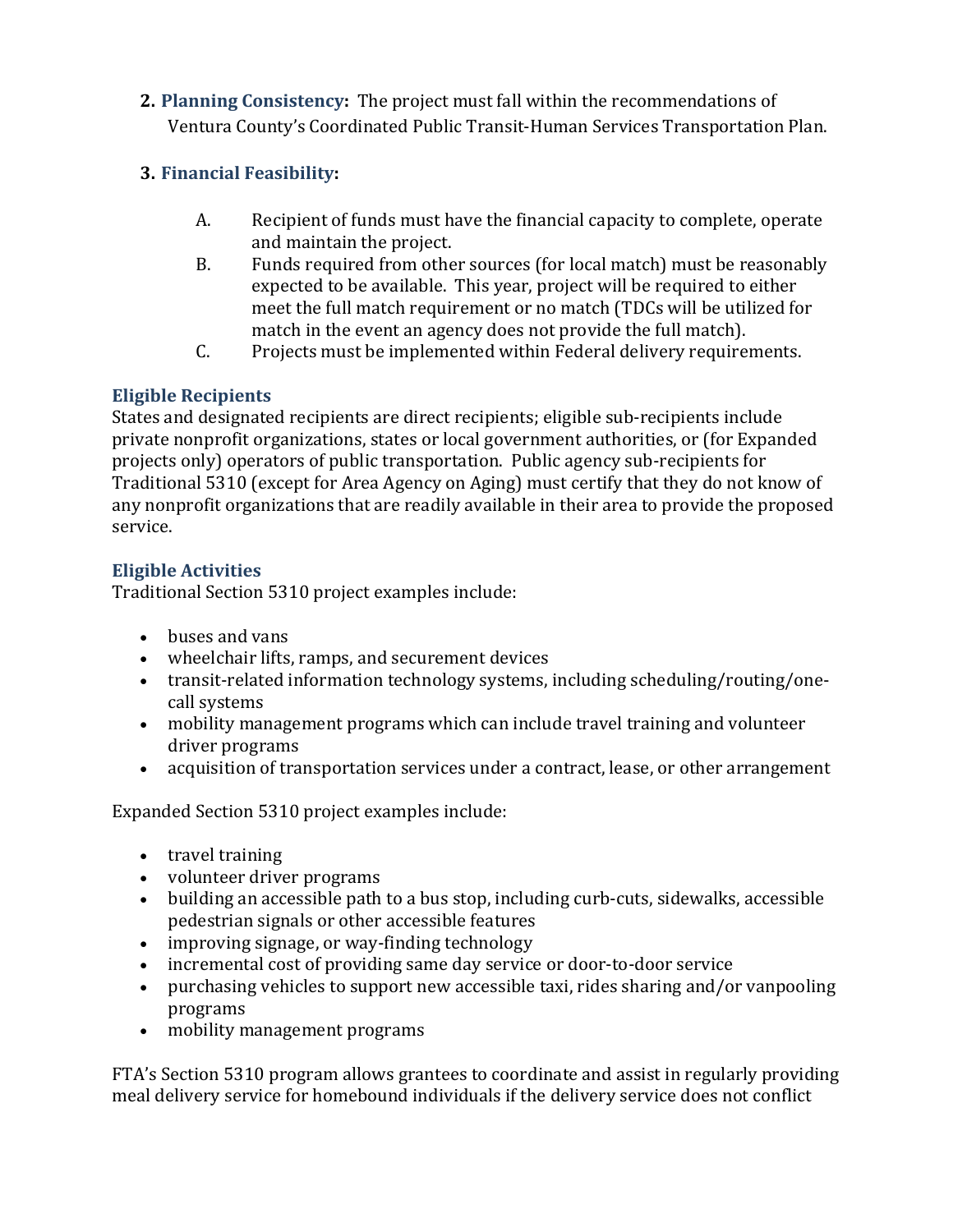**2. Planning Consistency:** The project must fall within the recommendations of Ventura County's Coordinated Public Transit-Human Services Transportation Plan.

# **3. Financial Feasibility:**

- A. Recipient of funds must have the financial capacity to complete, operate and maintain the project.
- B. Funds required from other sources (for local match) must be reasonably expected to be available. This year, project will be required to either meet the full match requirement or no match (TDCs will be utilized for match in the event an agency does not provide the full match).
- C. Projects must be implemented within Federal delivery requirements.

# **Eligible Recipients**

States and designated recipients are direct recipients; eligible sub-recipients include private nonprofit organizations, states or local government authorities, or (for Expanded projects only) operators of public transportation. Public agency sub-recipients for Traditional 5310 (except for Area Agency on Aging) must certify that they do not know of any nonprofit organizations that are readily available in their area to provide the proposed service.

# **Eligible Activities**

Traditional Section 5310 project examples include:

- buses and vans
- wheelchair lifts, ramps, and securement devices
- transit-related information technology systems, including scheduling/routing/onecall systems
- mobility management programs which can include travel training and volunteer driver programs
- acquisition of transportation services under a contract, lease, or other arrangement

Expanded Section 5310 project examples include:

- travel training
- volunteer driver programs
- building an accessible path to a bus stop, including curb-cuts, sidewalks, accessible pedestrian signals or other accessible features
- improving signage, or way-finding technology
- incremental cost of providing same day service or door-to-door service
- purchasing vehicles to support new accessible taxi, rides sharing and/or vanpooling programs
- mobility management programs

FTA's Section 5310 program allows grantees to coordinate and assist in regularly providing meal delivery service for homebound individuals if the delivery service does not conflict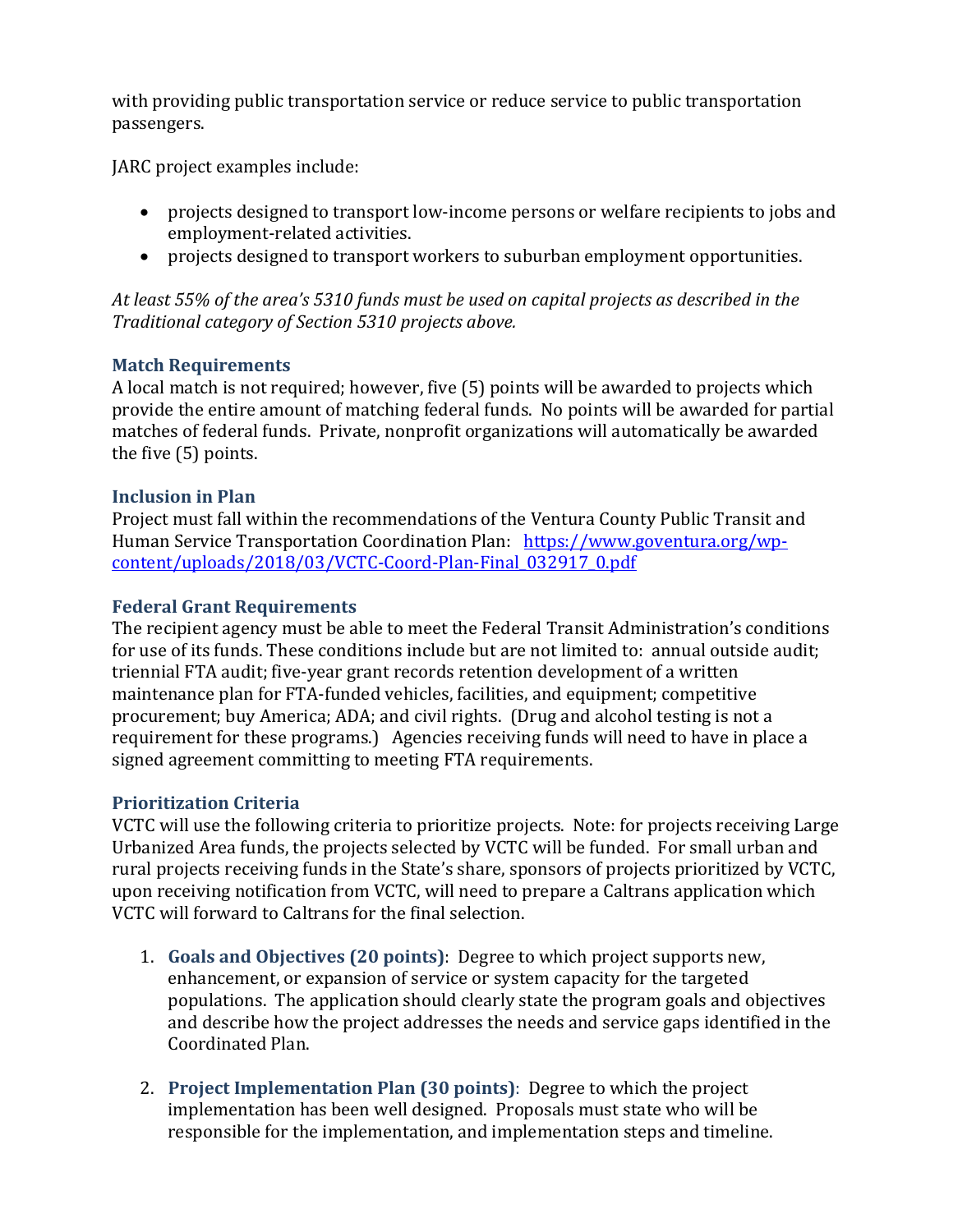with providing public transportation service or reduce service to public transportation passengers.

JARC project examples include:

- projects designed to transport low-income persons or welfare recipients to jobs and employment-related activities.
- projects designed to transport workers to suburban employment opportunities.

*At least 55% of the area's 5310 funds must be used on capital projects as described in the Traditional category of Section 5310 projects above.*

## **Match Requirements**

A local match is not required; however, five (5) points will be awarded to projects which provide the entire amount of matching federal funds. No points will be awarded for partial matches of federal funds. Private, nonprofit organizations will automatically be awarded the five (5) points.

### **Inclusion in Plan**

Project must fall within the recommendations of the Ventura County Public Transit and Human Service Transportation Coordination Plan: [https://www.goventura.org/wp](https://www.goventura.org/wp-content/uploads/2018/03/VCTC-Coord-Plan-Final_032917_0.pdf)[content/uploads/2018/03/VCTC-Coord-Plan-Final\\_032917\\_0.pdf](https://www.goventura.org/wp-content/uploads/2018/03/VCTC-Coord-Plan-Final_032917_0.pdf)

## **Federal Grant Requirements**

The recipient agency must be able to meet the Federal Transit Administration's conditions for use of its funds. These conditions include but are not limited to: annual outside audit; triennial FTA audit; five-year grant records retention development of a written maintenance plan for FTA-funded vehicles, facilities, and equipment; competitive procurement; buy America; ADA; and civil rights. (Drug and alcohol testing is not a requirement for these programs.) Agencies receiving funds will need to have in place a signed agreement committing to meeting FTA requirements.

### **Prioritization Criteria**

VCTC will use the following criteria to prioritize projects. Note: for projects receiving Large Urbanized Area funds, the projects selected by VCTC will be funded. For small urban and rural projects receiving funds in the State's share, sponsors of projects prioritized by VCTC, upon receiving notification from VCTC, will need to prepare a Caltrans application which VCTC will forward to Caltrans for the final selection.

- 1. **Goals and Objectives (20 points)**: Degree to which project supports new, enhancement, or expansion of service or system capacity for the targeted populations. The application should clearly state the program goals and objectives and describe how the project addresses the needs and service gaps identified in the Coordinated Plan.
- 2. **Project Implementation Plan (30 points)**: Degree to which the project implementation has been well designed. Proposals must state who will be responsible for the implementation, and implementation steps and timeline.